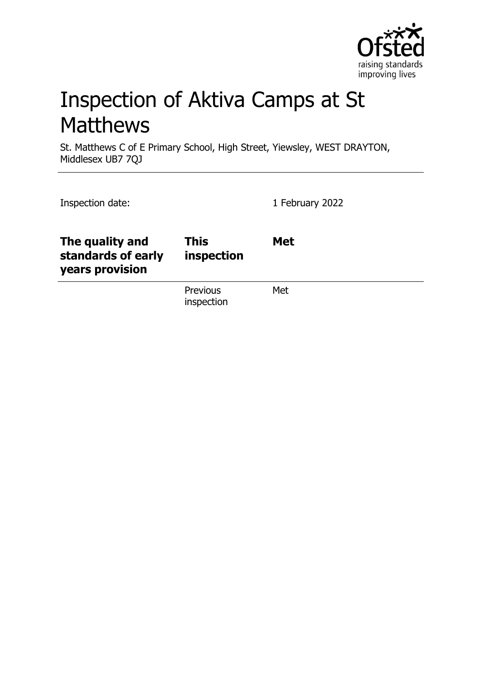

# Inspection of Aktiva Camps at St **Matthews**

St. Matthews C of E Primary School, High Street, Yiewsley, WEST DRAYTON, Middlesex UB7 7QJ

| Inspection date:                                         |                           | 1 February 2022 |
|----------------------------------------------------------|---------------------------|-----------------|
| The quality and<br>standards of early<br>years provision | <b>This</b><br>inspection | <b>Met</b>      |
|                                                          | Previous<br>inspection    | Met             |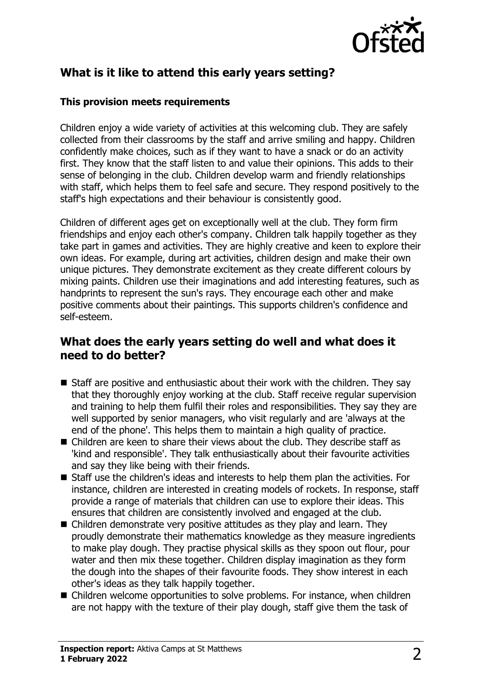

# **What is it like to attend this early years setting?**

#### **This provision meets requirements**

Children enjoy a wide variety of activities at this welcoming club. They are safely collected from their classrooms by the staff and arrive smiling and happy. Children confidently make choices, such as if they want to have a snack or do an activity first. They know that the staff listen to and value their opinions. This adds to their sense of belonging in the club. Children develop warm and friendly relationships with staff, which helps them to feel safe and secure. They respond positively to the staff's high expectations and their behaviour is consistently good.

Children of different ages get on exceptionally well at the club. They form firm friendships and enjoy each other's company. Children talk happily together as they take part in games and activities. They are highly creative and keen to explore their own ideas. For example, during art activities, children design and make their own unique pictures. They demonstrate excitement as they create different colours by mixing paints. Children use their imaginations and add interesting features, such as handprints to represent the sun's rays. They encourage each other and make positive comments about their paintings. This supports children's confidence and self-esteem.

## **What does the early years setting do well and what does it need to do better?**

- $\blacksquare$  Staff are positive and enthusiastic about their work with the children. They say that they thoroughly enjoy working at the club. Staff receive regular supervision and training to help them fulfil their roles and responsibilities. They say they are well supported by senior managers, who visit regularly and are 'always at the end of the phone'. This helps them to maintain a high quality of practice.
- $\blacksquare$  Children are keen to share their views about the club. They describe staff as 'kind and responsible'. They talk enthusiastically about their favourite activities and say they like being with their friends.
- $\blacksquare$  Staff use the children's ideas and interests to help them plan the activities. For instance, children are interested in creating models of rockets. In response, staff provide a range of materials that children can use to explore their ideas. This ensures that children are consistently involved and engaged at the club.
- $\blacksquare$  Children demonstrate very positive attitudes as they play and learn. They proudly demonstrate their mathematics knowledge as they measure ingredients to make play dough. They practise physical skills as they spoon out flour, pour water and then mix these together. Children display imagination as they form the dough into the shapes of their favourite foods. They show interest in each other's ideas as they talk happily together.
- $\blacksquare$  Children welcome opportunities to solve problems. For instance, when children are not happy with the texture of their play dough, staff give them the task of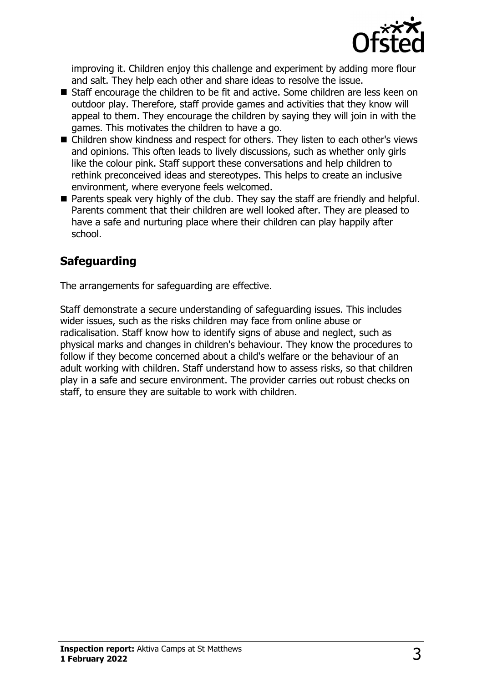

improving it. Children enjoy this challenge and experiment by adding more flour and salt. They help each other and share ideas to resolve the issue.

- Staff encourage the children to be fit and active. Some children are less keen on outdoor play. Therefore, staff provide games and activities that they know will appeal to them. They encourage the children by saying they will join in with the games. This motivates the children to have a go.
- Children show kindness and respect for others. They listen to each other's views and opinions. This often leads to lively discussions, such as whether only girls like the colour pink. Staff support these conversations and help children to rethink preconceived ideas and stereotypes. This helps to create an inclusive environment, where everyone feels welcomed.
- $\blacksquare$  Parents speak very highly of the club. They say the staff are friendly and helpful. Parents comment that their children are well looked after. They are pleased to have a safe and nurturing place where their children can play happily after school.

# **Safeguarding**

The arrangements for safeguarding are effective.

Staff demonstrate a secure understanding of safeguarding issues. This includes wider issues, such as the risks children may face from online abuse or radicalisation. Staff know how to identify signs of abuse and neglect, such as physical marks and changes in children's behaviour. They know the procedures to follow if they become concerned about a child's welfare or the behaviour of an adult working with children. Staff understand how to assess risks, so that children play in a safe and secure environment. The provider carries out robust checks on staff, to ensure they are suitable to work with children.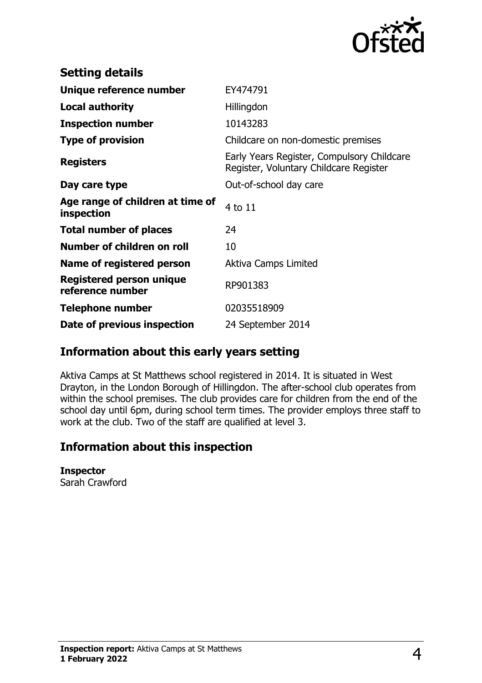

| <b>Setting details</b>                         |                                                                                      |
|------------------------------------------------|--------------------------------------------------------------------------------------|
| Unique reference number                        | EY474791                                                                             |
| <b>Local authority</b>                         | Hillingdon                                                                           |
| <b>Inspection number</b>                       | 10143283                                                                             |
| <b>Type of provision</b>                       | Childcare on non-domestic premises                                                   |
| <b>Registers</b>                               | Early Years Register, Compulsory Childcare<br>Register, Voluntary Childcare Register |
| Day care type                                  | Out-of-school day care                                                               |
| Age range of children at time of<br>inspection | 4 to 11                                                                              |
| <b>Total number of places</b>                  | 24                                                                                   |
| Number of children on roll                     | 10                                                                                   |
| Name of registered person                      | Aktiva Camps Limited                                                                 |
| Registered person unique<br>reference number   | RP901383                                                                             |
| <b>Telephone number</b>                        | 02035518909                                                                          |
| Date of previous inspection                    | 24 September 2014                                                                    |

## **Information about this early years setting**

Aktiva Camps at St Matthews school registered in 2014. It is situated in West Drayton, in the London Borough of Hillingdon. The after-school club operates from within the school premises. The club provides care for children from the end of the school day until 6pm, during school term times. The provider employs three staff to work at the club. Two of the staff are qualified at level 3.

## **Information about this inspection**

#### **Inspector**

Sarah Crawford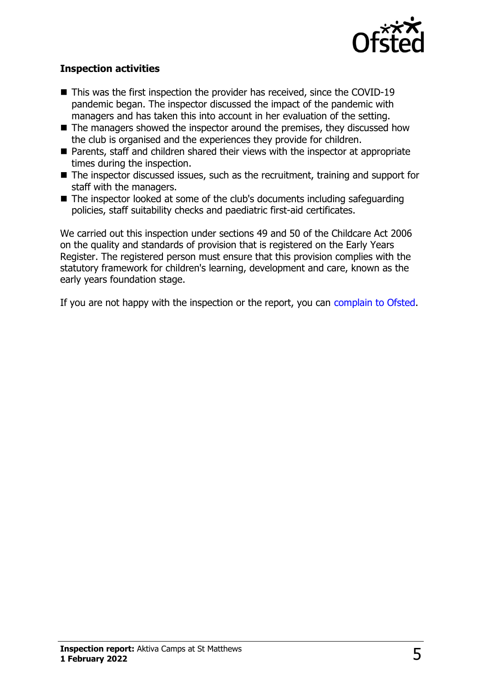

### **Inspection activities**

- $\blacksquare$  This was the first inspection the provider has received, since the COVID-19 pandemic began. The inspector discussed the impact of the pandemic with managers and has taken this into account in her evaluation of the setting.
- $\blacksquare$  The managers showed the inspector around the premises, they discussed how the club is organised and the experiences they provide for children.
- Parents, staff and children shared their views with the inspector at appropriate times during the inspection.
- $\blacksquare$  The inspector discussed issues, such as the recruitment, training and support for staff with the managers.
- $\blacksquare$  The inspector looked at some of the club's documents including safeguarding policies, staff suitability checks and paediatric first-aid certificates.

We carried out this inspection under sections 49 and 50 of the Childcare Act 2006 on the quality and standards of provision that is registered on the Early Years Register. The registered person must ensure that this provision complies with the statutory framework for children's learning, development and care, known as the early years foundation stage.

If you are not happy with the inspection or the report, you can [complain to Ofsted](http://www.gov.uk/complain-ofsted-report).